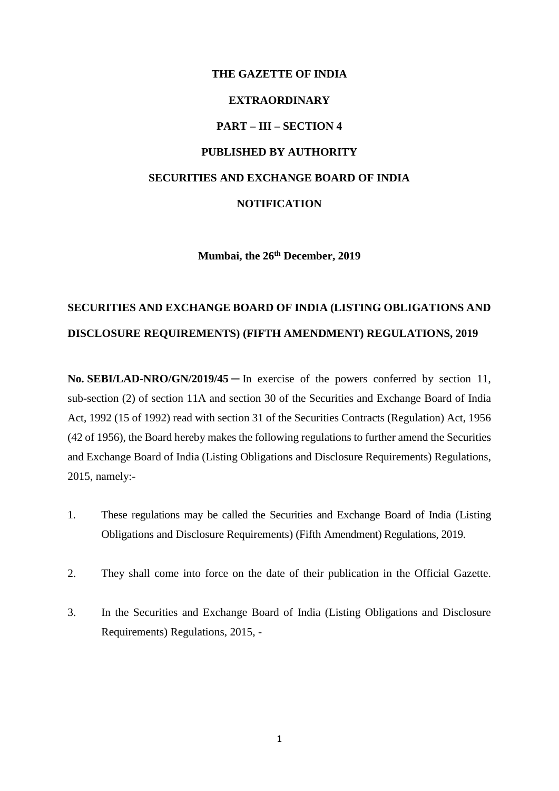## **THE GAZETTE OF INDIA EXTRAORDINARY PART – III – SECTION 4 PUBLISHED BY AUTHORITY SECURITIES AND EXCHANGE BOARD OF INDIA NOTIFICATION**

**Mumbai, the 26th December, 2019**

## **SECURITIES AND EXCHANGE BOARD OF INDIA (LISTING OBLIGATIONS AND DISCLOSURE REQUIREMENTS) (FIFTH AMENDMENT) REGULATIONS, 2019**

**No. SEBI/LAD-NRO/GN/2019/45** ─ In exercise of the powers conferred by section 11, sub-section (2) of section 11A and section 30 of the Securities and Exchange Board of India Act, 1992 (15 of 1992) read with section 31 of the Securities Contracts (Regulation) Act, 1956 (42 of 1956), the Board hereby makes the following regulations to further amend the Securities and Exchange Board of India (Listing Obligations and Disclosure Requirements) Regulations, 2015, namely:-

- 1. These regulations may be called the Securities and Exchange Board of India (Listing Obligations and Disclosure Requirements) (Fifth Amendment) Regulations, 2019.
- 2. They shall come into force on the date of their publication in the Official Gazette.
- 3. In the Securities and Exchange Board of India (Listing Obligations and Disclosure Requirements) Regulations, 2015, -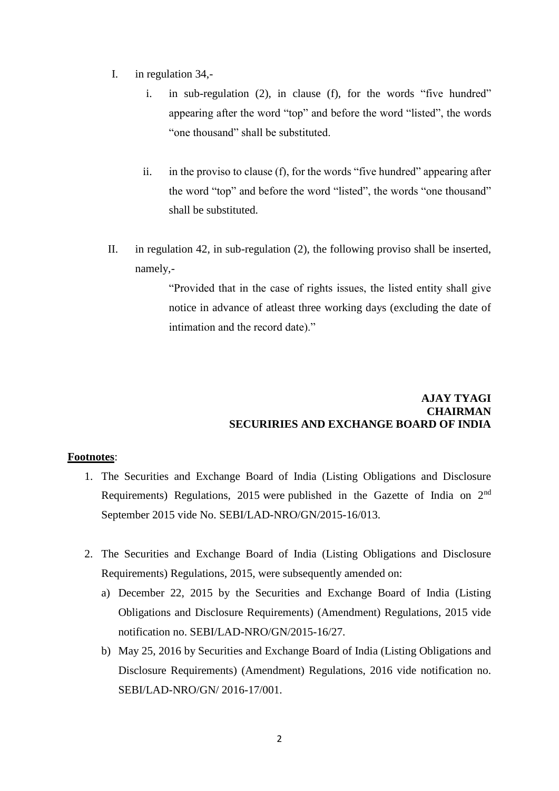- I. in regulation 34,
	- i. in sub-regulation (2), in clause (f), for the words "five hundred" appearing after the word "top" and before the word "listed", the words "one thousand" shall be substituted.
	- ii. in the proviso to clause (f), for the words "five hundred" appearing after the word "top" and before the word "listed", the words "one thousand" shall be substituted.
- II. in regulation 42, in sub-regulation (2), the following proviso shall be inserted, namely,-

"Provided that in the case of rights issues, the listed entity shall give notice in advance of atleast three working days (excluding the date of intimation and the record date)."

## **AJAY TYAGI CHAIRMAN SECURIRIES AND EXCHANGE BOARD OF INDIA**

## **Footnotes**:

- 1. The Securities and Exchange Board of India (Listing Obligations and Disclosure Requirements) Regulations, 2015 were published in the Gazette of India on 2nd September 2015 vide No. SEBI/LAD-NRO/GN/2015-16/013.
- 2. The Securities and Exchange Board of India (Listing Obligations and Disclosure Requirements) Regulations, 2015, were subsequently amended on:
	- a) December 22, 2015 by the Securities and Exchange Board of India (Listing Obligations and Disclosure Requirements) (Amendment) Regulations, 2015 vide notification no. SEBI/LAD-NRO/GN/2015-16/27.
	- b) May 25, 2016 by Securities and Exchange Board of India (Listing Obligations and Disclosure Requirements) (Amendment) Regulations, 2016 vide notification no. SEBI/LAD-NRO/GN/ 2016-17/001.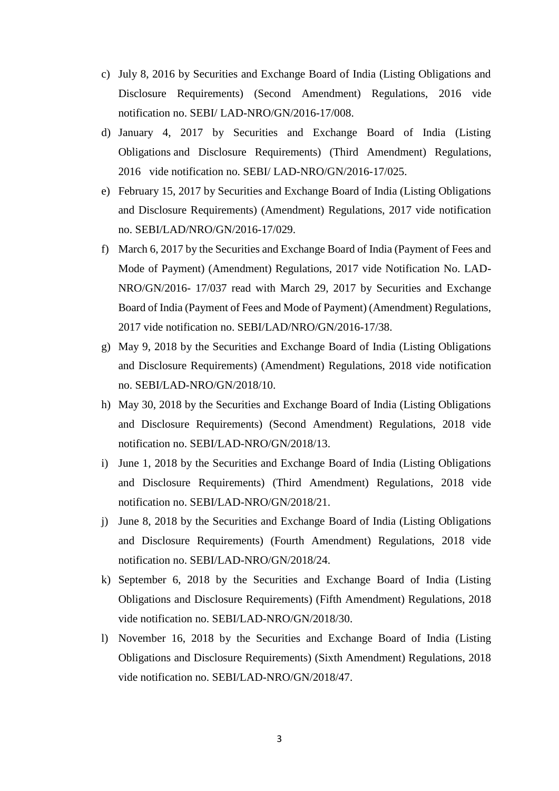- c) July 8, 2016 by Securities and Exchange Board of India (Listing Obligations and Disclosure Requirements) (Second Amendment) Regulations, 2016 vide notification no. SEBI/ LAD-NRO/GN/2016-17/008.
- d) January 4, 2017 by Securities and Exchange Board of India (Listing Obligations and Disclosure Requirements) (Third Amendment) Regulations, 2016 vide notification no. SEBI/ LAD-NRO/GN/2016-17/025.
- e) February 15, 2017 by Securities and Exchange Board of India (Listing Obligations and Disclosure Requirements) (Amendment) Regulations, 2017 vide notification no. SEBI/LAD/NRO/GN/2016-17/029.
- f) March 6, 2017 by the Securities and Exchange Board of India (Payment of Fees and Mode of Payment) (Amendment) Regulations, 2017 vide Notification No. LAD-NRO/GN/2016- 17/037 read with March 29, 2017 by Securities and Exchange Board of India (Payment of Fees and Mode of Payment) (Amendment) Regulations, 2017 vide notification no. SEBI/LAD/NRO/GN/2016-17/38.
- g) May 9, 2018 by the Securities and Exchange Board of India (Listing Obligations and Disclosure Requirements) (Amendment) Regulations, 2018 vide notification no. SEBI/LAD-NRO/GN/2018/10.
- h) May 30, 2018 by the Securities and Exchange Board of India (Listing Obligations and Disclosure Requirements) (Second Amendment) Regulations, 2018 vide notification no. SEBI/LAD-NRO/GN/2018/13.
- i) June 1, 2018 by the Securities and Exchange Board of India (Listing Obligations and Disclosure Requirements) (Third Amendment) Regulations, 2018 vide notification no. SEBI/LAD-NRO/GN/2018/21.
- j) June 8, 2018 by the Securities and Exchange Board of India (Listing Obligations and Disclosure Requirements) (Fourth Amendment) Regulations, 2018 vide notification no. SEBI/LAD-NRO/GN/2018/24.
- k) September 6, 2018 by the Securities and Exchange Board of India (Listing Obligations and Disclosure Requirements) (Fifth Amendment) Regulations, 2018 vide notification no. SEBI/LAD-NRO/GN/2018/30.
- l) November 16, 2018 by the Securities and Exchange Board of India (Listing Obligations and Disclosure Requirements) (Sixth Amendment) Regulations, 2018 vide notification no. SEBI/LAD-NRO/GN/2018/47.